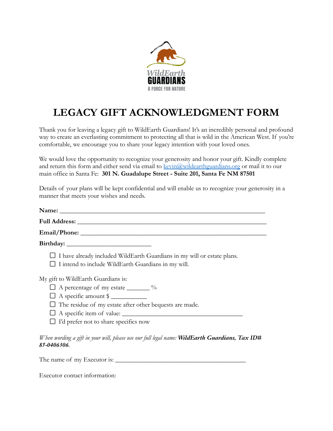

## **LEGACY GIFT ACKNOWLEDGMENT FORM**

Thank you for leaving a legacy gift to WildEarth Guardians! It's an incredibly personal and profound way to create an everlasting commitment to protecting all that is wild in the American West. If you're comfortable, we encourage you to share your legacy intention with your loved ones.

We would love the opportunity to recognize your generosity and honor your gift. Kindly complete and return this form and either send via email to [kevin@wildearthguardians.org](mailto:kevin@wildearthguardians.org) or mail it to our main office in Santa Fe: **301 N. Guadalupe Street - Suite 201, Santa Fe NM 87501**

Details of your plans will be kept confidential and will enable us to recognize your generosity in a manner that meets your wishes and needs.

| Email/Phone:                                                   |                                                                                |
|----------------------------------------------------------------|--------------------------------------------------------------------------------|
|                                                                |                                                                                |
| $\Box$ I intend to include WildEarth Guardians in my will.     | $\Box$ I have already included WildEarth Guardians in my will or estate plans. |
| My gift to WildEarth Guardians is:                             |                                                                                |
| $\Box$ A percentage of my estate $\_\_\_\_$ %                  |                                                                                |
| $\Box$ A specific amount $\frac{1}{2}$                         |                                                                                |
| $\Box$ The residue of my estate after other bequests are made. |                                                                                |
|                                                                | $\Box$ A specific item of value: $\Box$                                        |
| $\Box$ I'd prefer not to share specifics now                   |                                                                                |

The name of my Executor is:  $\frac{1}{\sqrt{2\pi}}$ 

Executor contact information: